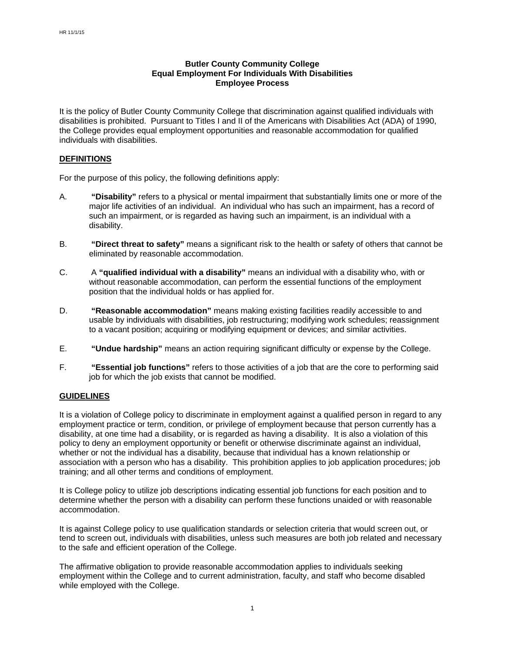# **Butler County Community College Equal Employment For Individuals With Disabilities Employee Process**

It is the policy of Butler County Community College that discrimination against qualified individuals with disabilities is prohibited. Pursuant to Titles I and II of the Americans with Disabilities Act (ADA) of 1990, the College provides equal employment opportunities and reasonable accommodation for qualified individuals with disabilities.

### **DEFINITIONS**

For the purpose of this policy, the following definitions apply:

- A. **"Disability"** refers to a physical or mental impairment that substantially limits one or more of the major life activities of an individual. An individual who has such an impairment, has a record of such an impairment, or is regarded as having such an impairment, is an individual with a disability.
- B. **"Direct threat to safety"** means a significant risk to the health or safety of others that cannot be eliminated by reasonable accommodation.
- C. A **"qualified individual with a disability"** means an individual with a disability who, with or without reasonable accommodation, can perform the essential functions of the employment position that the individual holds or has applied for.
- D. **"Reasonable accommodation"** means making existing facilities readily accessible to and usable by individuals with disabilities, job restructuring; modifying work schedules; reassignment to a vacant position; acquiring or modifying equipment or devices; and similar activities.
- E. **"Undue hardship"** means an action requiring significant difficulty or expense by the College.
- F. **"Essential job functions"** refers to those activities of a job that are the core to performing said job for which the job exists that cannot be modified.

#### **GUIDELINES**

It is a violation of College policy to discriminate in employment against a qualified person in regard to any employment practice or term, condition, or privilege of employment because that person currently has a disability, at one time had a disability, or is regarded as having a disability. It is also a violation of this policy to deny an employment opportunity or benefit or otherwise discriminate against an individual, whether or not the individual has a disability, because that individual has a known relationship or association with a person who has a disability. This prohibition applies to job application procedures; job training; and all other terms and conditions of employment.

It is College policy to utilize job descriptions indicating essential job functions for each position and to determine whether the person with a disability can perform these functions unaided or with reasonable accommodation.

It is against College policy to use qualification standards or selection criteria that would screen out, or tend to screen out, individuals with disabilities, unless such measures are both job related and necessary to the safe and efficient operation of the College.

The affirmative obligation to provide reasonable accommodation applies to individuals seeking employment within the College and to current administration, faculty, and staff who become disabled while employed with the College.